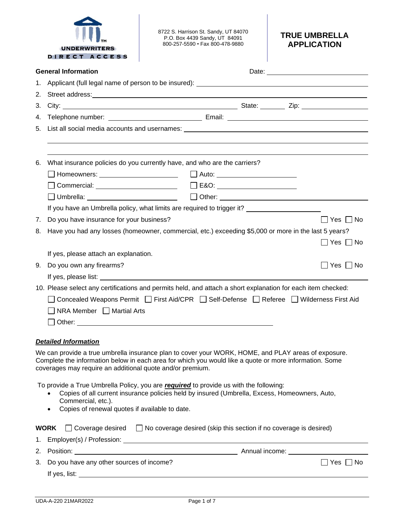|                                                                                                                                                                                                                                                                            | <b>UNDERWRITERS</b><br>DIRECT ACCESS                                                                                                                                                                                                 | 8722 S. Harrison St. Sandy, UT 84070<br>P.O. Box 4439 Sandy, UT 84091<br>800-257-5590 · Fax 800-478-9880                                                                               | <b>TRUE UMBRELLA</b><br><b>APPLICATION</b> |  |
|----------------------------------------------------------------------------------------------------------------------------------------------------------------------------------------------------------------------------------------------------------------------------|--------------------------------------------------------------------------------------------------------------------------------------------------------------------------------------------------------------------------------------|----------------------------------------------------------------------------------------------------------------------------------------------------------------------------------------|--------------------------------------------|--|
|                                                                                                                                                                                                                                                                            | <b>General Information</b>                                                                                                                                                                                                           |                                                                                                                                                                                        |                                            |  |
| 1.                                                                                                                                                                                                                                                                         |                                                                                                                                                                                                                                      |                                                                                                                                                                                        |                                            |  |
| 2.                                                                                                                                                                                                                                                                         |                                                                                                                                                                                                                                      |                                                                                                                                                                                        |                                            |  |
| 3.                                                                                                                                                                                                                                                                         |                                                                                                                                                                                                                                      |                                                                                                                                                                                        |                                            |  |
| 4.                                                                                                                                                                                                                                                                         |                                                                                                                                                                                                                                      |                                                                                                                                                                                        |                                            |  |
| 5.                                                                                                                                                                                                                                                                         |                                                                                                                                                                                                                                      |                                                                                                                                                                                        |                                            |  |
|                                                                                                                                                                                                                                                                            |                                                                                                                                                                                                                                      |                                                                                                                                                                                        |                                            |  |
|                                                                                                                                                                                                                                                                            |                                                                                                                                                                                                                                      |                                                                                                                                                                                        |                                            |  |
| 6.                                                                                                                                                                                                                                                                         |                                                                                                                                                                                                                                      | What insurance policies do you currently have, and who are the carriers?                                                                                                               |                                            |  |
|                                                                                                                                                                                                                                                                            |                                                                                                                                                                                                                                      |                                                                                                                                                                                        |                                            |  |
|                                                                                                                                                                                                                                                                            |                                                                                                                                                                                                                                      |                                                                                                                                                                                        |                                            |  |
|                                                                                                                                                                                                                                                                            | If you have an Umbrella policy, what limits are required to trigger it?                                                                                                                                                              |                                                                                                                                                                                        |                                            |  |
| 7.                                                                                                                                                                                                                                                                         | Do you have insurance for your business?                                                                                                                                                                                             |                                                                                                                                                                                        | Yes $\Box$ No                              |  |
| 8.                                                                                                                                                                                                                                                                         |                                                                                                                                                                                                                                      | Have you had any losses (homeowner, commercial, etc.) exceeding \$5,000 or more in the last 5 years?                                                                                   |                                            |  |
|                                                                                                                                                                                                                                                                            |                                                                                                                                                                                                                                      |                                                                                                                                                                                        | $\Box$ Yes $\Box$ No                       |  |
|                                                                                                                                                                                                                                                                            | If yes, please attach an explanation.                                                                                                                                                                                                |                                                                                                                                                                                        |                                            |  |
|                                                                                                                                                                                                                                                                            | 9. Do you own any firearms?<br>  Yes  No                                                                                                                                                                                             |                                                                                                                                                                                        |                                            |  |
|                                                                                                                                                                                                                                                                            | If yes, please list: <u>subset of the set of the set of the set of the set of the set of the set of the set of the set of the set of the set of the set of the set of the set of the set of the set of the set of the set of the</u> |                                                                                                                                                                                        |                                            |  |
|                                                                                                                                                                                                                                                                            |                                                                                                                                                                                                                                      | 10. Please select any certifications and permits held, and attach a short explanation for each item checked:                                                                           |                                            |  |
|                                                                                                                                                                                                                                                                            |                                                                                                                                                                                                                                      | Concealed Weapons Permit □ First Aid/CPR □ Self-Defense □ Referee □ Wilderness First Aid                                                                                               |                                            |  |
|                                                                                                                                                                                                                                                                            | NRA Member □ Martial Arts                                                                                                                                                                                                            |                                                                                                                                                                                        |                                            |  |
|                                                                                                                                                                                                                                                                            |                                                                                                                                                                                                                                      |                                                                                                                                                                                        |                                            |  |
|                                                                                                                                                                                                                                                                            |                                                                                                                                                                                                                                      |                                                                                                                                                                                        |                                            |  |
|                                                                                                                                                                                                                                                                            | <b>Detailed Information</b>                                                                                                                                                                                                          |                                                                                                                                                                                        |                                            |  |
| We can provide a true umbrella insurance plan to cover your WORK, HOME, and PLAY areas of exposure.<br>Complete the information below in each area for which you would like a quote or more information. Some<br>coverages may require an additional quote and/or premium. |                                                                                                                                                                                                                                      |                                                                                                                                                                                        |                                            |  |
|                                                                                                                                                                                                                                                                            | Commercial, etc.).<br>Copies of renewal quotes if available to date.<br>٠                                                                                                                                                            | To provide a True Umbrella Policy, you are required to provide us with the following:<br>Copies of all current insurance policies held by insured (Umbrella, Excess, Homeowners, Auto, |                                            |  |
| 1.                                                                                                                                                                                                                                                                         | <b>WORK</b>                                                                                                                                                                                                                          | □ Coverage desired □ No coverage desired (skip this section if no coverage is desired)                                                                                                 |                                            |  |
| 2.                                                                                                                                                                                                                                                                         |                                                                                                                                                                                                                                      |                                                                                                                                                                                        |                                            |  |
| 3.                                                                                                                                                                                                                                                                         | Do you have any other sources of income?                                                                                                                                                                                             |                                                                                                                                                                                        | $\Box$ Yes $\Box$ No                       |  |
|                                                                                                                                                                                                                                                                            |                                                                                                                                                                                                                                      |                                                                                                                                                                                        |                                            |  |
|                                                                                                                                                                                                                                                                            |                                                                                                                                                                                                                                      |                                                                                                                                                                                        |                                            |  |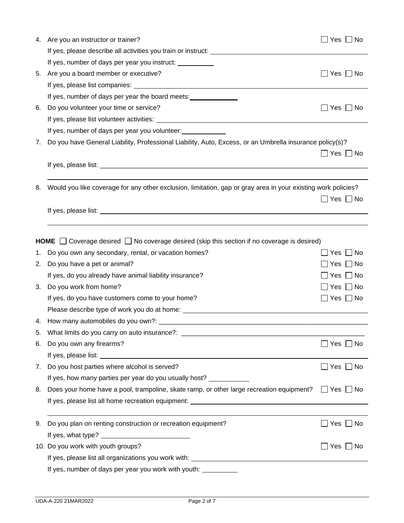| 4.       | Are you an instructor or trainer?                                                                                                                                                                                                    | Yes $\Box$ No        |
|----------|--------------------------------------------------------------------------------------------------------------------------------------------------------------------------------------------------------------------------------------|----------------------|
|          |                                                                                                                                                                                                                                      |                      |
|          | If yes, number of days per year you instruct:                                                                                                                                                                                        |                      |
| 5.       | Are you a board member or executive?                                                                                                                                                                                                 | $\Box$ Yes $\Box$ No |
|          |                                                                                                                                                                                                                                      |                      |
|          | If yes, number of days per year the board meets:                                                                                                                                                                                     |                      |
| 6.       | Do you volunteer your time or service?                                                                                                                                                                                               | Yes $\Box$ No        |
|          |                                                                                                                                                                                                                                      |                      |
|          | If yes, number of days per year you volunteer:                                                                                                                                                                                       |                      |
| 7.       | Do you have General Liability, Professional Liability, Auto, Excess, or an Umbrella insurance policy(s)?                                                                                                                             |                      |
|          |                                                                                                                                                                                                                                      | $\Box$ Yes $\Box$ No |
|          |                                                                                                                                                                                                                                      |                      |
|          |                                                                                                                                                                                                                                      |                      |
| 8.       | Would you like coverage for any other exclusion, limitation, gap or gray area in your existing work policies?                                                                                                                        |                      |
|          |                                                                                                                                                                                                                                      | Yes $\Box$ No        |
|          | If yes, please list: <b>example and in the set of the set of the set of the set of the set of the set of the set of the set of the set of the set of the set of the set of the set of the set of the set of the set of the set o</b> |                      |
|          |                                                                                                                                                                                                                                      |                      |
|          | <b>HOME</b> $\Box$ Coverage desired $\Box$ No coverage desired (skip this section if no coverage is desired)                                                                                                                         |                      |
|          |                                                                                                                                                                                                                                      | $\Box$ Yes $\Box$ No |
| 1.<br>2. | Do you own any secondary, rental, or vacation homes?<br>Do you have a pet or animal?                                                                                                                                                 | Yes $\Box$ No        |
|          |                                                                                                                                                                                                                                      | Yes $\Box$ No        |
|          | If yes, do you already have animal liability insurance?                                                                                                                                                                              |                      |
| 3.       | Do you work from home?                                                                                                                                                                                                               | Yes $\Box$ No        |
|          | If yes, do you have customers come to your home?                                                                                                                                                                                     | $\Box$ Yes $\Box$ No |
|          | Please describe type of work you do at home: ___________________________________                                                                                                                                                     |                      |
| 4.       |                                                                                                                                                                                                                                      |                      |
| 5.       | What limits do you carry on auto insurance?: ___________________________________                                                                                                                                                     |                      |
| 6.       | Do you own any firearms?                                                                                                                                                                                                             | $\Box$ Yes $\Box$ No |
|          |                                                                                                                                                                                                                                      |                      |
| 7.       | Do you host parties where alcohol is served?                                                                                                                                                                                         | $\Box$ Yes $\Box$ No |
|          | If yes, how many parties per year do you usually host? ____________                                                                                                                                                                  |                      |
| 8.       | Does your home have a pool, trampoline, skate ramp, or other large recreation equipment? $\Box$ Yes $\Box$ No                                                                                                                        |                      |
|          |                                                                                                                                                                                                                                      |                      |
| 9.       | Do you plan on renting construction or recreation equipment?                                                                                                                                                                         | Yes $\Box$ No        |
|          |                                                                                                                                                                                                                                      |                      |
|          | 10. Do you work with youth groups?                                                                                                                                                                                                   | _  Yes  _  No        |
|          |                                                                                                                                                                                                                                      |                      |
|          | If yes, number of days per year you work with youth: __________                                                                                                                                                                      |                      |
|          |                                                                                                                                                                                                                                      |                      |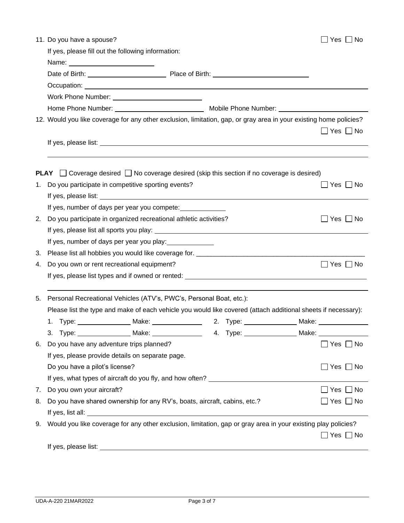|    | 11. Do you have a spouse?                                                                                                                                                                                                            | Yes $\Box$ No        |
|----|--------------------------------------------------------------------------------------------------------------------------------------------------------------------------------------------------------------------------------------|----------------------|
|    | If yes, please fill out the following information:                                                                                                                                                                                   |                      |
|    | Name: ____________________________                                                                                                                                                                                                   |                      |
|    |                                                                                                                                                                                                                                      |                      |
|    | Occupation: <u>contract and contract and contract and contract and contract and contract and contract and contract and contract and contract and contract and contract and contract and contract and contract and contract and c</u> |                      |
|    | Work Phone Number: ________________                                                                                                                                                                                                  |                      |
|    |                                                                                                                                                                                                                                      |                      |
|    | 12. Would you like coverage for any other exclusion, limitation, gap, or gray area in your existing home policies?                                                                                                                   |                      |
|    |                                                                                                                                                                                                                                      | $\Box$ Yes $\Box$ No |
|    |                                                                                                                                                                                                                                      |                      |
|    |                                                                                                                                                                                                                                      |                      |
|    | <b>PLAY</b> $\Box$ Coverage desired $\Box$ No coverage desired (skip this section if no coverage is desired)                                                                                                                         |                      |
| 1. | Do you participate in competitive sporting events?                                                                                                                                                                                   | Yes     No           |
|    |                                                                                                                                                                                                                                      |                      |
|    | If yes, number of days per year you compete:                                                                                                                                                                                         |                      |
| 2. | Do you participate in organized recreational athletic activities?                                                                                                                                                                    | $\Box$ Yes $\Box$ No |
|    |                                                                                                                                                                                                                                      |                      |
|    | If yes, number of days per year you play:                                                                                                                                                                                            |                      |
| 3. |                                                                                                                                                                                                                                      |                      |
| 4. | Do you own or rent recreational equipment?                                                                                                                                                                                           | $\Box$ Yes $\Box$ No |
|    |                                                                                                                                                                                                                                      |                      |
| 5. | Personal Recreational Vehicles (ATV's, PWC's, Personal Boat, etc.):                                                                                                                                                                  |                      |
|    | Please list the type and make of each vehicle you would like covered (attach additional sheets if necessary):                                                                                                                        |                      |
|    | 1. Type: Make: Make: 2. Type: Make: Make: 2. Type: 1. Make: Make:                                                                                                                                                                    |                      |
|    | 3. Type: __________________ Make: ________________________ 4. Type: _________________ Make:                                                                                                                                          |                      |
| 6. | Do you have any adventure trips planned?                                                                                                                                                                                             | $\Box$ Yes $\Box$ No |
|    | If yes, please provide details on separate page.                                                                                                                                                                                     |                      |
|    | Do you have a pilot's license?                                                                                                                                                                                                       | $\Box$ Yes $\Box$ No |
|    | If yes, what types of aircraft do you fly, and how often? ______________________                                                                                                                                                     |                      |
| 7. | Do you own your aircraft?                                                                                                                                                                                                            | $\Box$ Yes $\Box$ No |
| 8. | Do you have shared ownership for any RV's, boats, aircraft, cabins, etc.?                                                                                                                                                            | Yes $\Box$ No        |
|    |                                                                                                                                                                                                                                      |                      |
| 9. | Would you like coverage for any other exclusion, limitation, gap or gray area in your existing play policies?                                                                                                                        | $\Box$ Yes $\Box$ No |
|    |                                                                                                                                                                                                                                      |                      |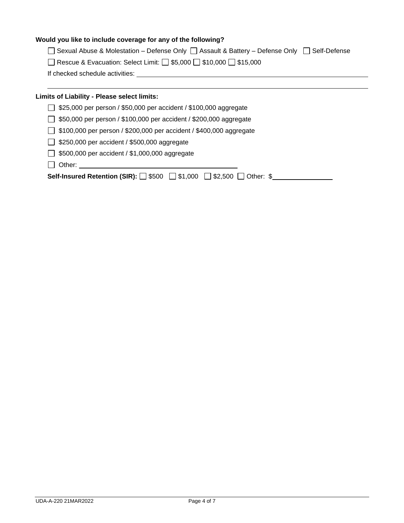# **Would you like to include coverage for any of the following?**

□ Sexual Abuse & Molestation – Defense Only □ Assault & Battery – Defense Only □ Self-Defense

| □ Rescue & Evacuation: Select Limit: □ \$5,000 □ \$10,000 □ \$15,000 |  |
|----------------------------------------------------------------------|--|
|----------------------------------------------------------------------|--|

If checked schedule activities:

# **Limits of Liability - Please select limits:**

- \$25,000 per person / \$50,000 per accident / \$100,000 aggregate
- \$50,000 per person / \$100,000 per accident / \$200,000 aggregate
- □ \$100,000 per person / \$200,000 per accident / \$400,000 aggregate
- $\Box$  \$250,000 per accident / \$500,000 aggregate
- $\Box$  \$500,000 per accident / \$1,000,000 aggregate
- □ Other:

**Self-Insured Retention (SIR):** □ \$500 □ \$1,000 □ \$2,500 □ Other: \$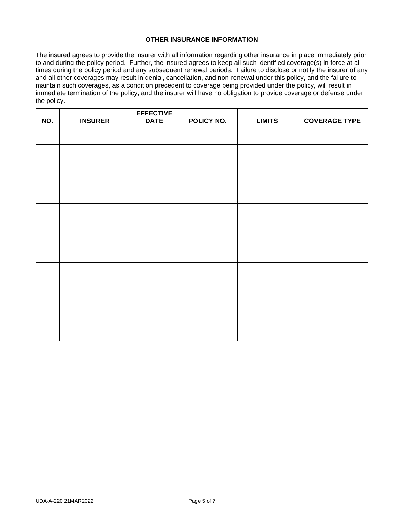#### **OTHER INSURANCE INFORMATION**

The insured agrees to provide the insurer with all information regarding other insurance in place immediately prior to and during the policy period. Further, the insured agrees to keep all such identified coverage(s) in force at all times during the policy period and any subsequent renewal periods. Failure to disclose or notify the insurer of any and all other coverages may result in denial, cancellation, and non-renewal under this policy, and the failure to maintain such coverages, as a condition precedent to coverage being provided under the policy, will result in immediate termination of the policy, and the insurer will have no obligation to provide coverage or defense under the policy.

| NO. | <b>INSURER</b> | <b>EFFECTIVE</b><br><b>DATE</b> | POLICY NO. | <b>LIMITS</b> | <b>COVERAGE TYPE</b> |
|-----|----------------|---------------------------------|------------|---------------|----------------------|
|     |                |                                 |            |               |                      |
|     |                |                                 |            |               |                      |
|     |                |                                 |            |               |                      |
|     |                |                                 |            |               |                      |
|     |                |                                 |            |               |                      |
|     |                |                                 |            |               |                      |
|     |                |                                 |            |               |                      |
|     |                |                                 |            |               |                      |
|     |                |                                 |            |               |                      |
|     |                |                                 |            |               |                      |
|     |                |                                 |            |               |                      |
|     |                |                                 |            |               |                      |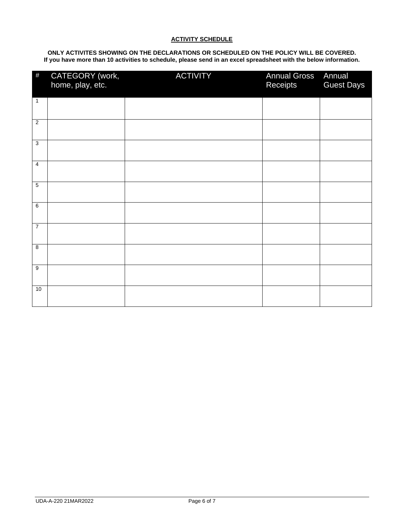#### **ACTIVITY SCHEDULE**

**ONLY ACTIVITES SHOWING ON THE DECLARATIONS OR SCHEDULED ON THE POLICY WILL BE COVERED. If you have more than 10 activities to schedule, please send in an excel spreadsheet with the below information.**

| $\#$             | CATEGORY (work,<br>home, play, etc. | <b>ACTIVITY</b> | <b>Annual Gross</b><br>Receipts | Annual<br><b>Guest Days</b> |
|------------------|-------------------------------------|-----------------|---------------------------------|-----------------------------|
| $\mathbf{1}$     |                                     |                 |                                 |                             |
| $\overline{2}$   |                                     |                 |                                 |                             |
| 3                |                                     |                 |                                 |                             |
| $\overline{4}$   |                                     |                 |                                 |                             |
| $\overline{5}$   |                                     |                 |                                 |                             |
| 6                |                                     |                 |                                 |                             |
| $\overline{7}$   |                                     |                 |                                 |                             |
| 8                |                                     |                 |                                 |                             |
| $\boldsymbol{9}$ |                                     |                 |                                 |                             |
| 10               |                                     |                 |                                 |                             |